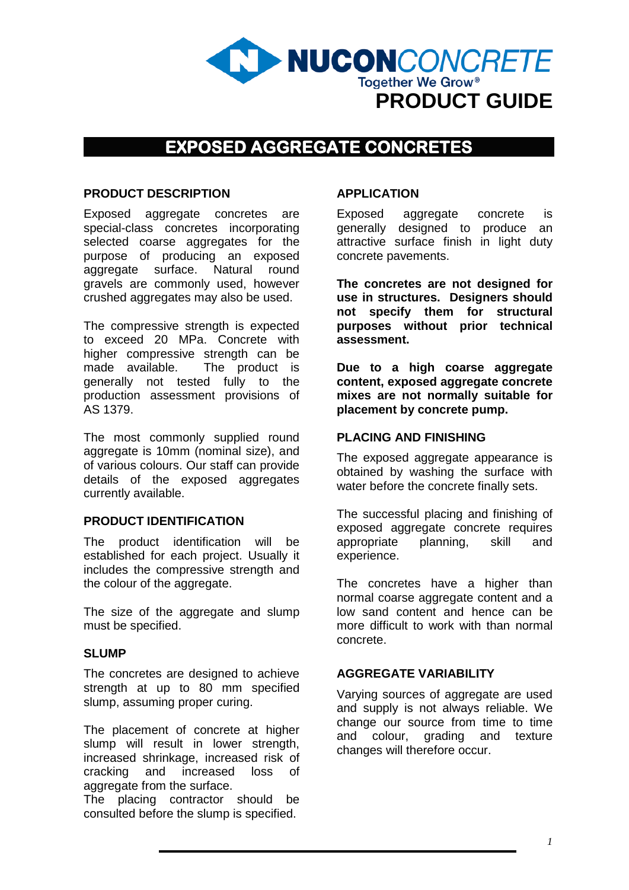

# **EXPOSED AGGREGATE CONCRETES**

#### **PRODUCT DESCRIPTION**

Exposed aggregate concretes are special-class concretes incorporating selected coarse aggregates for the purpose of producing an exposed aggregate surface. Natural round gravels are commonly used, however crushed aggregates may also be used.

The compressive strength is expected to exceed 20 MPa. Concrete with higher compressive strength can be made available. The product is generally not tested fully to the production assessment provisions of AS 1379.

The most commonly supplied round aggregate is 10mm (nominal size), and of various colours. Our staff can provide details of the exposed aggregates currently available.

#### **PRODUCT IDENTIFICATION**

The product identification will be established for each project. Usually it includes the compressive strength and the colour of the aggregate.

The size of the aggregate and slump must be specified.

#### **SLUMP**

The concretes are designed to achieve strength at up to 80 mm specified slump, assuming proper curing.

The placement of concrete at higher slump will result in lower strength, increased shrinkage, increased risk of cracking and increased loss of aggregate from the surface.

The placing contractor should be consulted before the slump is specified.

### **APPLICATION**

Exposed aggregate concrete is generally designed to produce an attractive surface finish in light duty concrete pavements.

**The concretes are not designed for use in structures. Designers should not specify them for structural purposes without prior technical assessment.**

**Due to a high coarse aggregate content, exposed aggregate concrete mixes are not normally suitable for placement by concrete pump.**

#### **PLACING AND FINISHING**

The exposed aggregate appearance is obtained by washing the surface with water before the concrete finally sets.

The successful placing and finishing of exposed aggregate concrete requires appropriate planning, skill and experience.

The concretes have a higher than normal coarse aggregate content and a low sand content and hence can be more difficult to work with than normal concrete.

#### **AGGREGATE VARIABILITY**

Varying sources of aggregate are used and supply is not always reliable. We change our source from time to time and colour, grading and texture changes will therefore occur.